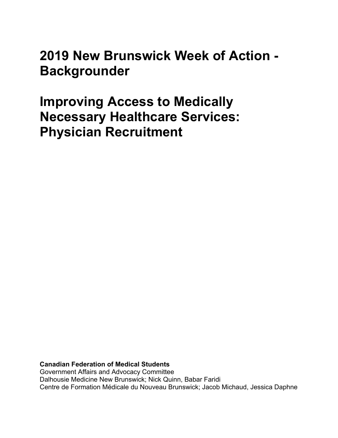**2019 New Brunswick Week of Action - Backgrounder**

**Improving Access to Medically Necessary Healthcare Services: Physician Recruitment**

**Canadian Federation of Medical Students** Government Affairs and Advocacy Committee Dalhousie Medicine New Brunswick; Nick Quinn, Babar Faridi Centre de Formation Médicale du Nouveau Brunswick; Jacob Michaud, Jessica Daphne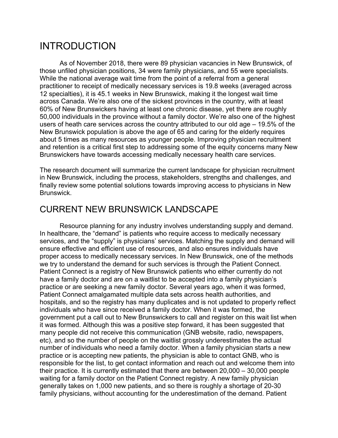# INTRODUCTION

As of November 2018, there were 89 physician vacancies in New Brunswick, of those unfiled physician positions, 34 were family physicians, and 55 were specialists. While the national average wait time from the point of a referral from a general practitioner to receipt of medically necessary services is 19.8 weeks (averaged across 12 specialties), it is 45.1 weeks in New Brunswick, making it the longest wait time across Canada. We're also one of the sickest provinces in the country, with at least 60% of New Brunswickers having at least one chronic disease, yet there are roughly 50,000 individuals in the province without a family doctor. We're also one of the highest users of heath care services across the country attributed to our old age – 19.5% of the New Brunswick population is above the age of 65 and caring for the elderly requires about 5 times as many resources as younger people. Improving physician recruitment and retention is a critical first step to addressing some of the equity concerns many New Brunswickers have towards accessing medically necessary health care services.

The research document will summarize the current landscape for physician recruitment in New Brunswick, including the process, stakeholders, strengths and challenges, and finally review some potential solutions towards improving access to physicians in New **Brunswick** 

### CURRENT NEW BRUNSWICK LANDSCAPE

Resource planning for any industry involves understanding supply and demand. In healthcare, the "demand" is patients who require access to medically necessary services, and the "supply" is physicians' services. Matching the supply and demand will ensure effective and efficient use of resources, and also ensures individuals have proper access to medically necessary services. In New Brunswick, one of the methods we try to understand the demand for such services is through the Patient Connect. Patient Connect is a registry of New Brunswick patients who either currently do not have a family doctor and are on a waitlist to be accepted into a family physician's practice or are seeking a new family doctor. Several years ago, when it was formed, Patient Connect amalgamated multiple data sets across health authorities, and hospitals, and so the registry has many duplicates and is not updated to properly reflect individuals who have since received a family doctor. When it was formed, the government put a call out to New Brunswickers to call and register on this wait list when it was formed. Although this was a positive step forward, it has been suggested that many people did not receive this communication (GNB website, radio, newspapers, etc), and so the number of people on the waitlist grossly underestimates the actual number of individuals who need a family doctor. When a family physician starts a new practice or is accepting new patients, the physician is able to contact GNB, who is responsible for the list, to get contact information and reach out and welcome them into their practice. It is currently estimated that there are between 20,000 – 30,000 people waiting for a family doctor on the Patient Connect registry. A new family physician generally takes on 1,000 new patients, and so there is roughly a shortage of 20-30 family physicians, without accounting for the underestimation of the demand. Patient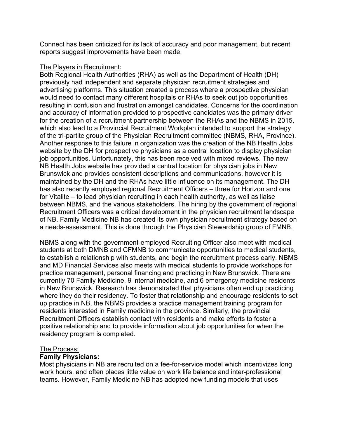Connect has been criticized for its lack of accuracy and poor management, but recent reports suggest improvements have been made.

#### The Players in Recruitment:

Both Regional Health Authorities (RHA) as well as the Department of Health (DH) previously had independent and separate physician recruitment strategies and advertising platforms. This situation created a process where a prospective physician would need to contact many different hospitals or RHAs to seek out job opportunities resulting in confusion and frustration amongst candidates. Concerns for the coordination and accuracy of information provided to prospective candidates was the primary driver for the creation of a recruitment partnership between the RHAs and the NBMS in 2015, which also lead to a Provincial Recruitment Workplan intended to support the strategy of the tri-partite group of the Physician Recruitment committee (NBMS, RHA, Province). Another response to this failure in organization was the creation of the NB Health Jobs website by the DH for prospective physicians as a central location to display physician job opportunities. Unfortunately, this has been received with mixed reviews. The new NB Health Jobs website has provided a central location for physician jobs in New Brunswick and provides consistent descriptions and communications, however it is maintained by the DH and the RHAs have little influence on its management. The DH has also recently employed regional Recruitment Officers – three for Horizon and one for Vitalite – to lead physician recruiting in each health authority, as well as liaise between NBMS, and the various stakeholders. The hiring by the government of regional Recruitment Officers was a critical development in the physician recruitment landscape of NB. Family Medicine NB has created its own physician recruitment strategy based on a needs-assessment. This is done through the Physician Stewardship group of FMNB.

NBMS along with the government-employed Recruiting Officer also meet with medical students at both DMNB and CFMNB to communicate opportunities to medical students, to establish a relationship with students, and begin the recruitment process early. NBMS and MD Financial Services also meets with medical students to provide workshops for practice management, personal financing and practicing in New Brunswick. There are currently 70 Family Medicine, 9 internal medicine, and 6 emergency medicine residents in New Brunswick. Research has demonstrated that physicians often end up practicing where they do their residency. To foster that relationship and encourage residents to set up practice in NB, the NBMS provides a practice management training program for residents interested in Family medicine in the province. Similarly, the provincial Recruitment Officers establish contact with residents and make efforts to foster a positive relationship and to provide information about job opportunities for when the residency program is completed.

#### The Process:

### **Family Physicians:**

Most physicians in NB are recruited on a fee-for-service model which incentivizes long work hours, and often places little value on work life balance and inter-professional teams. However, Family Medicine NB has adopted new funding models that uses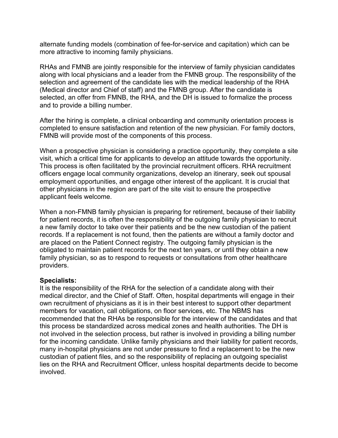alternate funding models (combination of fee-for-service and capitation) which can be more attractive to incoming family physicians.

RHAs and FMNB are jointly responsible for the interview of family physician candidates along with local physicians and a leader from the FMNB group. The responsibility of the selection and agreement of the candidate lies with the medical leadership of the RHA (Medical director and Chief of staff) and the FMNB group. After the candidate is selected, an offer from FMNB, the RHA, and the DH is issued to formalize the process and to provide a billing number.

After the hiring is complete, a clinical onboarding and community orientation process is completed to ensure satisfaction and retention of the new physician. For family doctors, FMNB will provide most of the components of this process.

When a prospective physician is considering a practice opportunity, they complete a site visit, which a critical time for applicants to develop an attitude towards the opportunity. This process is often facilitated by the provincial recruitment officers. RHA recruitment officers engage local community organizations, develop an itinerary, seek out spousal employment opportunities, and engage other interest of the applicant. It is crucial that other physicians in the region are part of the site visit to ensure the prospective applicant feels welcome.

When a non-FMNB family physician is preparing for retirement, because of their liability for patient records, it is often the responsibility of the outgoing family physician to recruit a new family doctor to take over their patients and be the new custodian of the patient records. If a replacement is not found, then the patients are without a family doctor and are placed on the Patient Connect registry. The outgoing family physician is the obligated to maintain patient records for the next ten years, or until they obtain a new family physician, so as to respond to requests or consultations from other healthcare providers.

### **Specialists:**

It is the responsibility of the RHA for the selection of a candidate along with their medical director, and the Chief of Staff. Often, hospital departments will engage in their own recruitment of physicians as it is in their best interest to support other department members for vacation, call obligations, on floor services, etc. The NBMS has recommended that the RHAs be responsible for the interview of the candidates and that this process be standardized across medical zones and health authorities. The DH is not involved in the selection process, but rather is involved in providing a billing number for the incoming candidate. Unlike family physicians and their liability for patient records, many in-hospital physicians are not under pressure to find a replacement to be the new custodian of patient files, and so the responsibility of replacing an outgoing specialist lies on the RHA and Recruitment Officer, unless hospital departments decide to become involved.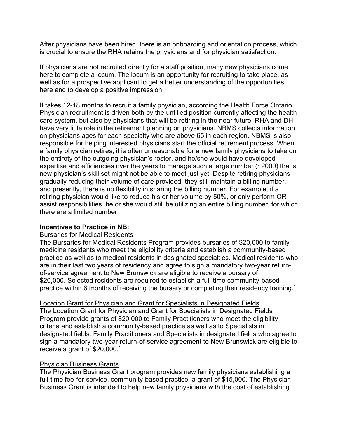After physicians have been hired, there is an onboarding and orientation process, which is crucial to ensure the RHA retains the physicians and for physician satisfaction.

If physicians are not recruited directly for a staff position, many new physicians come here to complete a locum. The locum is an opportunity for recruiting to take place, as well as for a prospective applicant to get a better understanding of the opportunities here and to develop a positive impression.

It takes 12-18 months to recruit a family physician, according the Health Force Ontario. Physician recruitment is driven both by the unfilled position currently affecting the health care system, but also by physicians that will be retiring in the near future. RHA and DH have very little role in the retirement planning on physicians. NBMS collects information on physicians ages for each specialty who are above 65 in each region. NBMS is also responsible for helping interested physicians start the official retirement process. When a family physician retires, it is often unreasonable for a new family physicians to take on the entirety of the outgoing physician's roster, and he/she would have developed expertise and efficiencies over the years to manage such a large number (~2000) that a new physician's skill set might not be able to meet just yet. Despite retiring physicians gradually reducing their volume of care provided, they still maintain a billing number, and presently, there is no flexibility in sharing the billing number. For example, if a retiring physician would like to reduce his or her volume by 50%, or only perform OR assist responsibilities, he or she would still be utilizing an entire billing number, for which there are a limited number

### **Incentives to Practice in NB:**

#### Bursaries for Medical Residents

The Bursaries for Medical Residents Program provides bursaries of \$20,000 to family medicine residents who meet the eligibility criteria and establish a community-based practice as well as to medical residents in designated specialties. Medical residents who are in their last two years of residency and agree to sign a mandatory two-year returnof-service agreement to New Brunswick are eligible to receive a bursary of \$20,000. Selected residents are required to establish a full-time community-based practice within 6 months of receiving the bursary or completing their residency training.1

### Location Grant for Physician and Grant for Specialists in Designated Fields

The Location Grant for Physician and Grant for Specialists in Designated Fields Program provide grants of \$20,000 to Family Practitioners who meet the eligibility criteria and establish a community-based practice as well as to Specialists in designated fields. Family Practitioners and Specialists in designated fields who agree to sign a mandatory two-year return-of-service agreement to New Brunswick are eligible to receive a grant of \$20,000.1

### Physician Business Grants

The Physician Business Grant program provides new family physicians establishing a full-time fee-for-service, community-based practice, a grant of \$15,000. The Physician Business Grant is intended to help new family physicians with the cost of establishing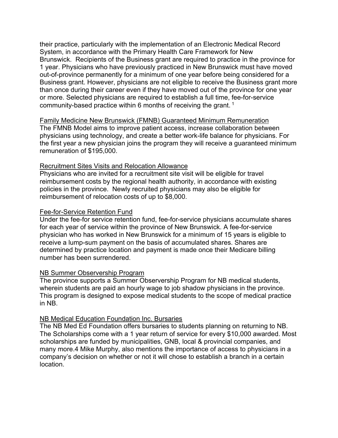their practice, particularly with the implementation of an Electronic Medical Record System, in accordance with the Primary Health Care Framework for New Brunswick. Recipients of the Business grant are required to practice in the province for 1 year. Physicians who have previously practiced in New Brunswick must have moved out-of-province permanently for a minimum of one year before being considered for a Business grant. However, physicians are not eligible to receive the Business grant more than once during their career even if they have moved out of the province for one year or more. Selected physicians are required to establish a full time, fee-for-service community-based practice within 6 months of receiving the grant. <sup>1</sup>

Family Medicine New Brunswick (FMNB) Guaranteed Minimum Remuneration The FMNB Model aims to improve patient access, increase collaboration between physicians using technology, and create a better work-life balance for physicians. For the first year a new physician joins the program they will receive a guaranteed minimum remuneration of \$195,000.

#### Recruitment Sites Visits and Relocation Allowance

Physicians who are invited for a recruitment site visit will be eligible for travel reimbursement costs by the regional health authority, in accordance with existing policies in the province. Newly recruited physicians may also be eligible for reimbursement of relocation costs of up to \$8,000.

#### Fee-for-Service Retention Fund

Under the fee-for service retention fund, fee-for-service physicians accumulate shares for each year of service within the province of New Brunswick. A fee-for-service physician who has worked in New Brunswick for a minimum of 15 years is eligible to receive a lump-sum payment on the basis of accumulated shares. Shares are determined by practice location and payment is made once their Medicare billing number has been surrendered.

#### NB Summer Observership Program

The province supports a Summer Observership Program for NB medical students, wherein students are paid an hourly wage to job shadow physicians in the province. This program is designed to expose medical students to the scope of medical practice in NB.

#### NB Medical Education Foundation Inc. Bursaries

The NB Med Ed Foundation offers bursaries to students planning on returning to NB. The Scholarships come with a 1 year return of service for every \$10,000 awarded. Most scholarships are funded by municipalities, GNB, local & provincial companies, and many more.4 Mike Murphy, also mentions the importance of access to physicians in a company's decision on whether or not it will chose to establish a branch in a certain location.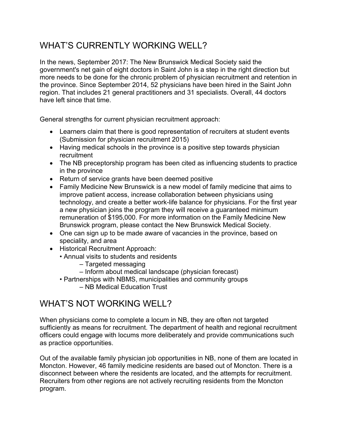# WHAT'S CURRENTLY WORKING WELL?

In the news, September 2017: The New Brunswick Medical Society said the government's net gain of eight doctors in Saint John is a step in the right direction but more needs to be done for the chronic problem of physician recruitment and retention in the province. Since September 2014, 52 physicians have been hired in the Saint John region. That includes 21 general practitioners and 31 specialists. Overall, 44 doctors have left since that time.

General strengths for current physician recruitment approach:

- Learners claim that there is good representation of recruiters at student events (Submission for physician recruitment 2015)
- Having medical schools in the province is a positive step towards physician recruitment
- The NB preceptorship program has been cited as influencing students to practice in the province
- Return of service grants have been deemed positive
- Family Medicine New Brunswick is a new model of family medicine that aims to improve patient access, increase collaboration between physicians using technology, and create a better work-life balance for physicians. For the first year a new physician joins the program they will receive a guaranteed minimum remuneration of \$195,000. For more information on the Family Medicine New Brunswick program, please contact the New Brunswick Medical Society.
- One can sign up to be made aware of vacancies in the province, based on speciality, and area
- Historical Recruitment Approach:
	- Annual visits to students and residents
		- Targeted messaging
		- Inform about medical landscape (physician forecast)
	- Partnerships with NBMS, municipalities and community groups
		- NB Medical Education Trust

# WHAT'S NOT WORKING WELL?

When physicians come to complete a locum in NB, they are often not targeted sufficiently as means for recruitment. The department of health and regional recruitment officers could engage with locums more deliberately and provide communications such as practice opportunities.

Out of the available family physician job opportunities in NB, none of them are located in Moncton. However, 46 family medicine residents are based out of Moncton. There is a disconnect between where the residents are located, and the attempts for recruitment. Recruiters from other regions are not actively recruiting residents from the Moncton program.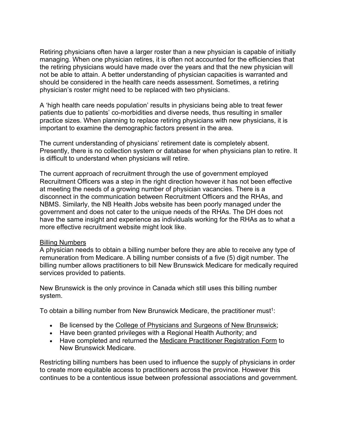Retiring physicians often have a larger roster than a new physician is capable of initially managing. When one physician retires, it is often not accounted for the efficiencies that the retiring physicians would have made over the years and that the new physician will not be able to attain. A better understanding of physician capacities is warranted and should be considered in the health care needs assessment. Sometimes, a retiring physician's roster might need to be replaced with two physicians.

A 'high health care needs population' results in physicians being able to treat fewer patients due to patients' co-morbidities and diverse needs, thus resulting in smaller practice sizes. When planning to replace retiring physicians with new physicians, it is important to examine the demographic factors present in the area.

The current understanding of physicians' retirement date is completely absent. Presently, there is no collection system or database for when physicians plan to retire. It is difficult to understand when physicians will retire.

The current approach of recruitment through the use of government employed Recruitment Officers was a step in the right direction however it has not been effective at meeting the needs of a growing number of physician vacancies. There is a disconnect in the communication between Recruitment Officers and the RHAs, and NBMS. Similarly, the NB Health Jobs website has been poorly managed under the government and does not cater to the unique needs of the RHAs. The DH does not have the same insight and experience as individuals working for the RHAs as to what a more effective recruitment website might look like.

#### Billing Numbers

A physician needs to obtain a billing number before they are able to receive any type of remuneration from Medicare. A billing number consists of a five (5) digit number. The billing number allows practitioners to bill New Brunswick Medicare for medically required services provided to patients.

New Brunswick is the only province in Canada which still uses this billing number system.

To obtain a billing number from New Brunswick Medicare, the practitioner must<sup>1</sup>:

- Be licensed by the College of Physicians and Surgeons of New Brunswick;
- Have been granted privileges with a Regional Health Authority; and
- Have completed and returned the Medicare Practitioner Registration Form to New Brunswick Medicare.

Restricting billing numbers has been used to influence the supply of physicians in order to create more equitable access to practitioners across the province. However this continues to be a contentious issue between professional associations and government.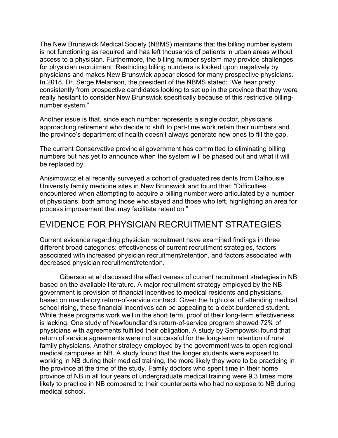The New Brunswick Medical Society (NBMS) maintains that the billing number system is not functioning as required and has left thousands of patients in urban areas without access to a physician. Furthermore, the billing number system may provide challenges for physician recruitment. Restricting billing numbers is looked upon negatively by physicians and makes New Brunswick appear closed for many prospective physicians. In 2018, Dr. Serge Melanson, the president of the NBMS stated: "We hear pretty consistently from prospective candidates looking to set up in the province that they were really hesitant to consider New Brunswick specifically because of this restrictive billingnumber system."

Another issue is that, since each number represents a single doctor, physicians approaching retirement who decide to shift to part-time work retain their numbers and the province's department of health doesn't always generate new ones to fill the gap.

The current Conservative provincial government has committed to eliminating billing numbers but has yet to announce when the system will be phased out and what it will be replaced by.

Anisimowicz et al recently surveyed a cohort of graduated residents from Dalhousie University family medicine sites in New Brunswick and found that: "Difficulties encountered when attempting to acquire a billing number were articulated by a number of physicians, both among those who stayed and those who left, highlighting an area for process improvement that may facilitate retention."

# EVIDENCE FOR PHYSICIAN RECRUITMENT STRATEGIES

Current evidence regarding physician recruitment have examined findings in three different broad categories: effectiveness of current recruitment strategies, factors associated with increased physician recruitment/retention, and factors associated with decreased physician recruitment/retention.

Giberson et al discussed the effectiveness of current recruitment strategies in NB based on the available literature. A major recruitment strategy employed by the NB government is provision of financial incentives to medical residents and physicians, based on mandatory return-of-service contract. Given the high cost of attending medical school rising, these financial incentives can be appealing to a debt-burdened student. While these programs work well in the short term, proof of their long-term effectiveness is lacking. One study of Newfoundland's return-of-service program showed 72% of physicians with agreements fulfilled their obligation. A study by Sempowski found that return of service agreements were not successful for the long-term retention of rural family physicians. Another strategy employed by the government was to open regional medical campuses in NB. A study found that the longer students were exposed to working in NB during their medical training, the more likely they were to be practicing in the province at the time of the study. Family doctors who spent time in their home province of NB in all four years of undergraduate medical training were 9.3 times more likely to practice in NB compared to their counterparts who had no expose to NB during medical school.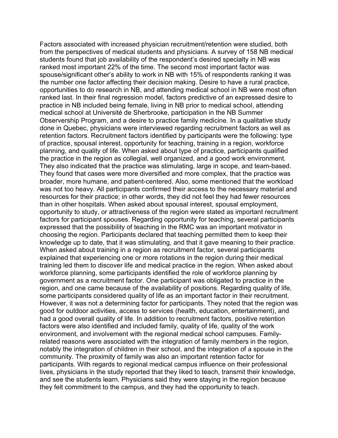Factors associated with increased physician recruitment/retention were studied, both from the perspectives of medical students and physicians. A survey of 158 NB medical students found that job availability of the respondent's desired specialty in NB was ranked most important 22% of the time. The second most important factor was spouse/significant other's ability to work in NB with 15% of respondents ranking it was the number one factor affecting their decision making. Desire to have a rural practice, opportunities to do research in NB, and attending medical school in NB were most often ranked last. In their final regression model, factors predictive of an expressed desire to practice in NB included being female, living in NB prior to medical school, attending medical school at Université de Sherbrooke, participation in the NB Summer Observership Program, and a desire to practice family medicine. In a qualitative study done in Quebec, physicians were interviewed regarding recruitment factors as well as retention factors. Recruitment factors identified by participants were the following: type of practice, spousal interest, opportunity for teaching, training in a region, workforce planning, and quality of life. When asked about type of practice, participants qualified the practice in the region as collegial, well organized, and a good work environment. They also indicated that the practice was stimulating, large in scope, and team-based. They found that cases were more diversified and more complex, that the practice was broader, more humane, and patient-centered. Also, some mentioned that the workload was not too heavy. All participants confirmed their access to the necessary material and resources for their practice; in other words, they did not feel they had fewer resources than in other hospitals. When asked about spousal interest, spousal employment, opportunity to study, or attractiveness of the region were stated as important recruitment factors for participant spouses. Regarding opportunity for teaching, several participants expressed that the possibility of teaching in the RMC was an important motivator in choosing the region. Participants declared that teaching permitted them to keep their knowledge up to date, that it was stimulating, and that it gave meaning to their practice. When asked about training in a region as recruitment factor, several participants explained that experiencing one or more rotations in the region during their medical training led them to discover life and medical practice in the region. When asked about workforce planning, some participants identified the role of workforce planning by government as a recruitment factor. One participant was obligated to practice in the region, and one came because of the availability of positions. Regarding quality of life, some participants considered quality of life as an important factor in their recruitment. However, it was not a determining factor for participants. They noted that the region was good for outdoor activities, access to services (health, education, entertainment), and had a good overall quality of life. In addition to recruitment factors, positive retention factors were also identified and included family, quality of life, quality of the work environment, and involvement with the regional medical school campuses. Familyrelated reasons were associated with the integration of family members in the region, notably the integration of children in their school, and the integration of a spouse in the community. The proximity of family was also an important retention factor for participants. With regards to regional medical campus influence on their professional lives, physicians in the study reported that they liked to teach, transmit their knowledge, and see the students learn. Physicians said they were staying in the region because they felt commitment to the campus, and they had the opportunity to teach.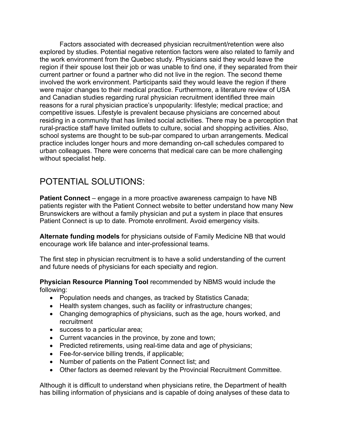Factors associated with decreased physician recruitment/retention were also explored by studies. Potential negative retention factors were also related to family and the work environment from the Quebec study. Physicians said they would leave the region if their spouse lost their job or was unable to find one, if they separated from their current partner or found a partner who did not live in the region. The second theme involved the work environment. Participants said they would leave the region if there were major changes to their medical practice. Furthermore, a literature review of USA and Canadian studies regarding rural physician recruitment identified three main reasons for a rural physician practice's unpopularity: lifestyle; medical practice; and competitive issues. Lifestyle is prevalent because physicians are concerned about residing in a community that has limited social activities. There may be a perception that rural-practice staff have limited outlets to culture, social and shopping activities. Also, school systems are thought to be sub-par compared to urban arrangements. Medical practice includes longer hours and more demanding on-call schedules compared to urban colleagues. There were concerns that medical care can be more challenging without specialist help.

# POTENTIAL SOLUTIONS:

**Patient Connect** – engage in a more proactive awareness campaign to have NB patients register with the Patient Connect website to better understand how many New Brunswickers are without a family physician and put a system in place that ensures Patient Connect is up to date. Promote enrollment. Avoid emergency visits.

**Alternate funding models** for physicians outside of Family Medicine NB that would encourage work life balance and inter-professional teams.

The first step in physician recruitment is to have a solid understanding of the current and future needs of physicians for each specialty and region.

**Physician Resource Planning Tool** recommended by NBMS would include the following:

- Population needs and changes, as tracked by Statistics Canada;
- Health system changes, such as facility or infrastructure changes;
- Changing demographics of physicians, such as the age, hours worked, and recruitment
- success to a particular area;
- Current vacancies in the province, by zone and town;
- Predicted retirements, using real-time data and age of physicians;
- Fee-for-service billing trends, if applicable;
- Number of patients on the Patient Connect list; and
- Other factors as deemed relevant by the Provincial Recruitment Committee.

Although it is difficult to understand when physicians retire, the Department of health has billing information of physicians and is capable of doing analyses of these data to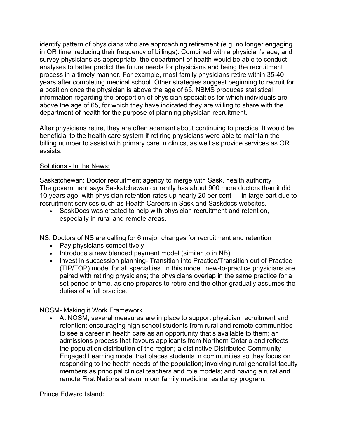identify pattern of physicians who are approaching retirement (e.g. no longer engaging in OR time, reducing their frequency of billings). Combined with a physician's age, and survey physicians as appropriate, the department of health would be able to conduct analyses to better predict the future needs for physicians and being the recruitment process in a timely manner. For example, most family physicians retire within 35-40 years after completing medical school. Other strategies suggest beginning to recruit for a position once the physician is above the age of 65. NBMS produces statistical information regarding the proportion of physician specialties for which individuals are above the age of 65, for which they have indicated they are willing to share with the department of health for the purpose of planning physician recruitment.

After physicians retire, they are often adamant about continuing to practice. It would be beneficial to the health care system if retiring physicians were able to maintain the billing number to assist with primary care in clinics, as well as provide services as OR assists.

#### Solutions - In the News:

Saskatchewan: Doctor recruitment agency to merge with Sask. health authority The government says Saskatchewan currently has about 900 more doctors than it did 10 years ago, with physician retention rates up nearly 20 per cent — in large part due to recruitment services such as Health Careers in Sask and Saskdocs websites.

• SaskDocs was created to help with physician recruitment and retention, especially in rural and remote areas.

NS: Doctors of NS are calling for 6 major changes for recruitment and retention

- Pay physicians competitively
- Introduce a new blended payment model (similar to in NB)
- Invest in succession planning- Transition into Practice/Transition out of Practice (TIP/TOP) model for all specialties. In this model, new-to-practice physicians are paired with retiring physicians; the physicians overlap in the same practice for a set period of time, as one prepares to retire and the other gradually assumes the duties of a full practice.

### NOSM- Making it Work Framework

• At NOSM, several measures are in place to support physician recruitment and retention: encouraging high school students from rural and remote communities to see a career in health care as an opportunity that's available to them; an admissions process that favours applicants from Northern Ontario and reflects the population distribution of the region; a distinctive Distributed Community Engaged Learning model that places students in communities so they focus on responding to the health needs of the population; involving rural generalist faculty members as principal clinical teachers and role models; and having a rural and remote First Nations stream in our family medicine residency program.

Prince Edward Island: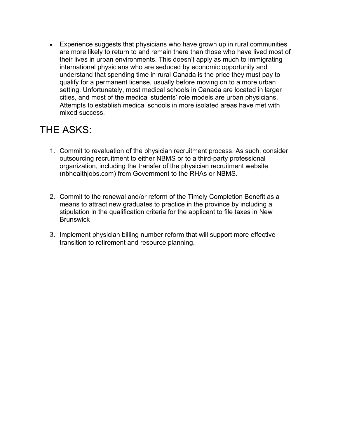• Experience suggests that physicians who have grown up in rural communities are more likely to return to and remain there than those who have lived most of their lives in urban environments. This doesn't apply as much to immigrating international physicians who are seduced by economic opportunity and understand that spending time in rural Canada is the price they must pay to qualify for a permanent license, usually before moving on to a more urban setting. Unfortunately, most medical schools in Canada are located in larger cities, and most of the medical students' role models are urban physicians. Attempts to establish medical schools in more isolated areas have met with mixed success.

# THE ASKS:

- 1. Commit to revaluation of the physician recruitment process. As such, consider outsourcing recruitment to either NBMS or to a third-party professional organization, including the transfer of the physician recruitment website (nbhealthjobs.com) from Government to the RHAs or NBMS.
- 2. Commit to the renewal and/or reform of the Timely Completion Benefit as a means to attract new graduates to practice in the province by including a stipulation in the qualification criteria for the applicant to file taxes in New **Brunswick**
- 3. Implement physician billing number reform that will support more effective transition to retirement and resource planning.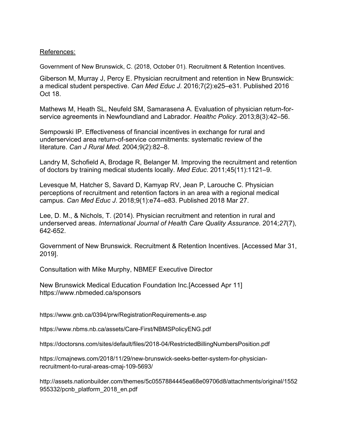#### References:

Government of New Brunswick, C. (2018, October 01). Recruitment & Retention Incentives.

Giberson M, Murray J, Percy E. Physician recruitment and retention in New Brunswick: a medical student perspective. *Can Med Educ J*. 2016;7(2):e25–e31. Published 2016 Oct 18.

Mathews M, Heath SL, Neufeld SM, Samarasena A. Evaluation of physician return-forservice agreements in Newfoundland and Labrador. *Healthc Policy*. 2013;8(3):42–56.

Sempowski IP. Effectiveness of financial incentives in exchange for rural and underserviced area return-of-service commitments: systematic review of the literature. *Can J Rural Med.* 2004;9(2):82–8.

Landry M, Schofield A, Brodage R, Belanger M. Improving the recruitment and retention of doctors by training medical students locally. *Med Educ*. 2011;45(11):1121–9.

Levesque M, Hatcher S, Savard D, Kamyap RV, Jean P, Larouche C. Physician perceptions of recruitment and retention factors in an area with a regional medical campus. *Can Med Educ J*. 2018;9(1):e74–e83. Published 2018 Mar 27.

Lee, D. M., & Nichols, T. (2014). Physician recruitment and retention in rural and underserved areas. *International Journal of Health Care Quality Assurance.* 2014;*27*(7), 642-652.

Government of New Brunswick. Recruitment & Retention Incentives. [Accessed Mar 31, 2019].

Consultation with Mike Murphy, NBMEF Executive Director

New Brunswick Medical Education Foundation Inc.[Accessed Apr 11] https://www.nbmeded.ca/sponsors

https://www.gnb.ca/0394/prw/RegistrationRequirements-e.asp

https://www.nbms.nb.ca/assets/Care-First/NBMSPolicyENG.pdf

https://doctorsns.com/sites/default/files/2018-04/RestrictedBillingNumbersPosition.pdf

https://cmajnews.com/2018/11/29/new-brunswick-seeks-better-system-for-physicianrecruitment-to-rural-areas-cmaj-109-5693/

http://assets.nationbuilder.com/themes/5c0557884445ea68e09706d8/attachments/original/1552 955332/pcnb\_platform\_2018\_en.pdf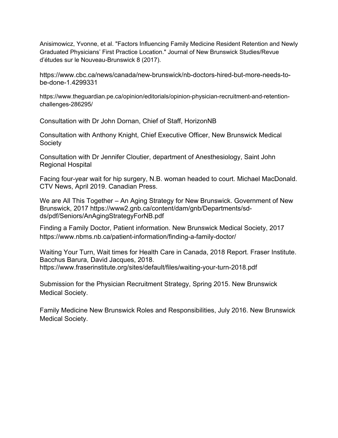Anisimowicz, Yvonne, et al. "Factors Influencing Family Medicine Resident Retention and Newly Graduated Physicians' First Practice Location." Journal of New Brunswick Studies/Revue d'études sur le Nouveau-Brunswick 8 (2017).

https://www.cbc.ca/news/canada/new-brunswick/nb-doctors-hired-but-more-needs-tobe-done-1.4299331

https://www.theguardian.pe.ca/opinion/editorials/opinion-physician-recruitment-and-retentionchallenges-286295/

Consultation with Dr John Dornan, Chief of Staff, HorizonNB

Consultation with Anthony Knight, Chief Executive Officer, New Brunswick Medical Society

Consultation with Dr Jennifer Cloutier, department of Anesthesiology, Saint John Regional Hospital

Facing four-year wait for hip surgery, N.B. woman headed to court. Michael MacDonald. CTV News, April 2019. Canadian Press.

We are All This Together – An Aging Strategy for New Brunswick. Government of New Brunswick, 2017 https://www2.gnb.ca/content/dam/gnb/Departments/sdds/pdf/Seniors/AnAgingStrategyForNB.pdf

Finding a Family Doctor, Patient information. New Brunswick Medical Society, 2017 https://www.nbms.nb.ca/patient-information/finding-a-family-doctor/

Waiting Your Turn, Wait times for Health Care in Canada, 2018 Report. Fraser Institute. Bacchus Barura, David Jacques, 2018. https://www.fraserinstitute.org/sites/default/files/waiting-your-turn-2018.pdf

Submission for the Physician Recruitment Strategy, Spring 2015. New Brunswick Medical Society.

Family Medicine New Brunswick Roles and Responsibilities, July 2016. New Brunswick Medical Society.